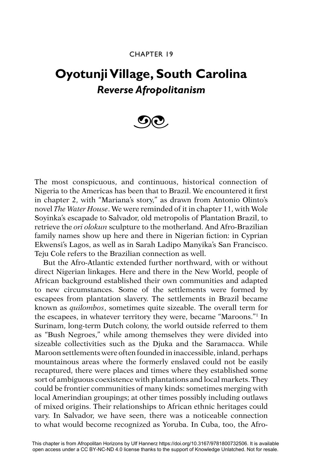## CHAPTER 19

## **Oyotunji Village, South Carolina** *Reverse Afropolitanism*



The most conspicuous, and continuous, historical connection of Nigeria to the Americas has been that to Brazil. We encountered it first in chapter 2, with "Mariana's story," as drawn from Antonio Olinto's novel *The Water House*. We were reminded of it in chapter 11, with Wole Soyinka's escapade to Salvador, old metropolis of Plantation Brazil, to retrieve the *ori olokun* sculpture to the motherland. And Afro-Brazilian family names show up here and there in Nigerian fiction: in Cyprian Ekwensi's Lagos, as well as in Sarah Ladipo Manyika's San Francisco. Teju Cole refers to the Brazilian connection as well.

But the Afro-Atlantic extended further northward, with or without direct Nigerian linkages. Here and there in the New World, people of African background established their own communities and adapted to new circumstances. Some of the settlements were formed by escapees from plantation slavery. The settlements in Brazil became known as *quilombos*, sometimes quite sizeable. The overall term for the escapees, in whatever territory they were, became "Maroons."1 In Surinam, long-term Dutch colony, the world outside referred to them as "Bush Negroes," while among themselves they were divided into sizeable collectivities such as the Djuka and the Saramacca. While Maroon settlements were often founded in inaccessible, inland, perhaps mountainous areas where the formerly enslaved could not be easily recaptured, there were places and times where they established some sort of ambiguous coexistence with plantations and local markets. They could be frontier communities of many kinds: sometimes merging with local Amerindian groupings; at other times possibly including outlaws of mixed origins. Their relationships to African ethnic heritages could vary. In Salvador, we have seen, there was a noticeable connection to what would become recognized as Yoruba. In Cuba, too, the Afro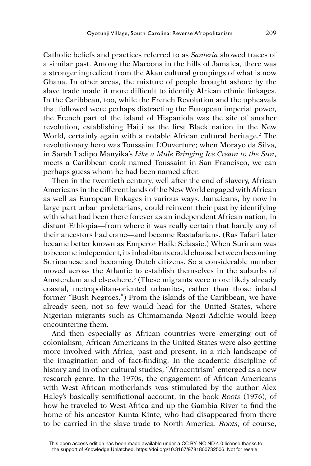Catholic beliefs and practices referred to as *Santeria* showed traces of a similar past. Among the Maroons in the hills of Jamaica, there was a stronger ingredient from the Akan cultural groupings of what is now Ghana. In other areas, the mixture of people brought ashore by the slave trade made it more difficult to identify African ethnic linkages. In the Caribbean, too, while the French Revolution and the upheavals that followed were perhaps distracting the European imperial power, the French part of the island of Hispaniola was the site of another revolution, establishing Haiti as the first Black nation in the New World, certainly again with a notable African cultural heritage.<sup>2</sup> The revolutionary hero was Toussaint L'Ouverture; when Morayo da Silva, in Sarah Ladipo Manyika's *Like a Mule Bringing Ice Cream to the Sun*, meets a Caribbean cook named Toussaint in San Francisco, we can perhaps guess whom he had been named after.

Then in the twentieth century, well after the end of slavery, African Americans in the different lands of the New World engaged with African as well as European linkages in various ways. Jamaicans, by now in large part urban proletarians, could reinvent their past by identifying with what had been there forever as an independent African nation, in distant Ethiopia—from where it was really certain that hardly any of their ancestors had come—and become Rastafarians. (Ras Tafari later became better known as Emperor Haile Selassie.) When Surinam was to become independent, its inhabitants could choose between becoming Surinamese and becoming Dutch citizens. So a considerable number moved across the Atlantic to establish themselves in the suburbs of Amsterdam and elsewhere.<sup>3</sup> (These migrants were more likely already coastal, metropolitan-oriented urbanites, rather than those inland former "Bush Negroes.") From the islands of the Caribbean, we have already seen, not so few would head for the United States, where Nigerian migrants such as Chimamanda Ngozi Adichie would keep encountering them.

And then especially as African countries were emerging out of colonialism, African Americans in the United States were also getting more involved with Africa, past and present, in a rich landscape of the imagination and of fact-finding. In the academic discipline of history and in other cultural studies, "Afrocentrism" emerged as a new research genre. In the 1970s, the engagement of African Americans with West African motherlands was stimulated by the author Alex Haley's basically semifictional account, in the book *Roots* (1976), of how he traveled to West Africa and up the Gambia River to find the home of his ancestor Kunta Kinte, who had disappeared from there to be carried in the slave trade to North America. *Roots*, of course,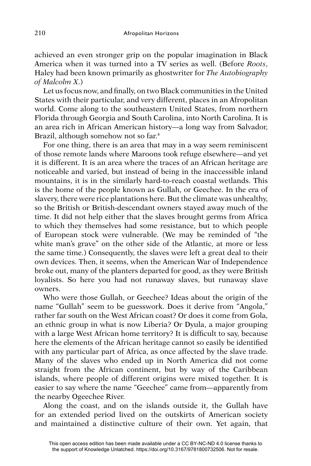achieved an even stronger grip on the popular imagination in Black America when it was turned into a TV series as well. (Before *Roots*, Haley had been known primarily as ghostwriter for *The Autobiography of Malcolm X*.)

Let us focus now, and finally, on two Black communities in the United States with their particular, and very different, places in an Afropolitan world. Come along to the southeastern United States, from northern Florida through Georgia and South Carolina, into North Carolina. It is an area rich in African American history—a long way from Salvador, Brazil, although somehow not so far.<sup>4</sup>

For one thing, there is an area that may in a way seem reminiscent of those remote lands where Maroons took refuge elsewhere—and yet it is different. It is an area where the traces of an African heritage are noticeable and varied, but instead of being in the inaccessible inland mountains, it is in the similarly hard-to-reach coastal wetlands. This is the home of the people known as Gullah, or Geechee. In the era of slavery, there were rice plantations here. But the climate was unhealthy, so the British or British-descendant owners stayed away much of the time. It did not help either that the slaves brought germs from Africa to which they themselves had some resistance, but to which people of European stock were vulnerable. (We may be reminded of "the white man's grave" on the other side of the Atlantic, at more or less the same time.) Consequently, the slaves were left a great deal to their own devices. Then, it seems, when the American War of Independence broke out, many of the planters departed for good, as they were British loyalists. So here you had not runaway slaves, but runaway slave owners.

Who were those Gullah, or Geechee? Ideas about the origin of the name "Gullah" seem to be guesswork. Does it derive from "Angola," rather far south on the West African coast? Or does it come from Gola, an ethnic group in what is now Liberia? Or Dyula, a major grouping with a large West African home territory? It is difficult to say, because here the elements of the African heritage cannot so easily be identified with any particular part of Africa, as once affected by the slave trade. Many of the slaves who ended up in North America did not come straight from the African continent, but by way of the Caribbean islands, where people of different origins were mixed together. It is easier to say where the name "Geechee" came from—apparently from the nearby Ogeechee River.

Along the coast, and on the islands outside it, the Gullah have for an extended period lived on the outskirts of American society and maintained a distinctive culture of their own. Yet again, that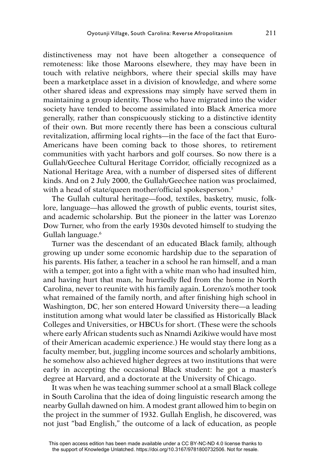distinctiveness may not have been altogether a consequence of remoteness: like those Maroons elsewhere, they may have been in touch with relative neighbors, where their special skills may have been a marketplace asset in a division of knowledge, and where some other shared ideas and expressions may simply have served them in maintaining a group identity. Those who have migrated into the wider society have tended to become assimilated into Black America more generally, rather than conspicuously sticking to a distinctive identity of their own. But more recently there has been a conscious cultural revitalization, affirming local rights—in the face of the fact that Euro-Americans have been coming back to those shores, to retirement communities with yacht harbors and golf courses. So now there is a Gullah/Geechee Cultural Heritage Corridor, officially recognized as a National Heritage Area, with a number of dispersed sites of different kinds. And on 2 July 2000, the Gullah/Geechee nation was proclaimed, with a head of state/queen mother/official spokesperson.<sup>5</sup>

The Gullah cultural heritage—food, textiles, basketry, music, folklore, language—has allowed the growth of public events, tourist sites, and academic scholarship. But the pioneer in the latter was Lorenzo Dow Turner, who from the early 1930s devoted himself to studying the Gullah language.<sup>6</sup>

Turner was the descendant of an educated Black family, although growing up under some economic hardship due to the separation of his parents. His father, a teacher in a school he ran himself, and a man with a temper, got into a fight with a white man who had insulted him, and having hurt that man, he hurriedly fled from the home in North Carolina, never to reunite with his family again. Lorenzo's mother took what remained of the family north, and after finishing high school in Washington, DC, her son entered Howard University there—a leading institution among what would later be classified as Historically Black Colleges and Universities, or HBCUs for short. (These were the schools where early African students such as Nnamdi Azikiwe would have most of their American academic experience.) He would stay there long as a faculty member, but, juggling income sources and scholarly ambitions, he somehow also achieved higher degrees at two institutions that were early in accepting the occasional Black student: he got a master's degree at Harvard, and a doctorate at the University of Chicago.

It was when he was teaching summer school at a small Black college in South Carolina that the idea of doing linguistic research among the nearby Gullah dawned on him. A modest grant allowed him to begin on the project in the summer of 1932. Gullah English, he discovered, was not just "bad English," the outcome of a lack of education, as people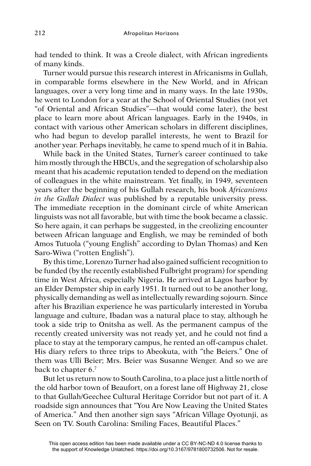had tended to think. It was a Creole dialect, with African ingredients of many kinds.

Turner would pursue this research interest in Africanisms in Gullah, in comparable forms elsewhere in the New World, and in African languages, over a very long time and in many ways. In the late 1930s, he went to London for a year at the School of Oriental Studies (not yet "of Oriental and African Studies"—that would come later), the best place to learn more about African languages. Early in the 1940s, in contact with various other American scholars in different disciplines, who had begun to develop parallel interests, he went to Brazil for another year. Perhaps inevitably, he came to spend much of it in Bahia.

While back in the United States, Turner's career continued to take him mostly through the HBCUs, and the segregation of scholarship also meant that his academic reputation tended to depend on the mediation of colleagues in the white mainstream. Yet finally, in 1949, seventeen years after the beginning of his Gullah research, his book *Africanisms in the Gullah Dialect* was published by a reputable university press. The immediate reception in the dominant circle of white American linguists was not all favorable, but with time the book became a classic. So here again, it can perhaps be suggested, in the creolizing encounter between African language and English, we may be reminded of both Amos Tutuola ("young English" according to Dylan Thomas) and Ken Saro-Wiwa ("rotten English").

By this time, Lorenzo Turner had also gained sufficient recognition to be funded (by the recently established Fulbright program) for spending time in West Africa, especially Nigeria. He arrived at Lagos harbor by an Elder Dempster ship in early 1951. It turned out to be another long, physically demanding as well as intellectually rewarding sojourn. Since after his Brazilian experience he was particularly interested in Yoruba language and culture, Ibadan was a natural place to stay, although he took a side trip to Onitsha as well. As the permanent campus of the recently created university was not ready yet, and he could not find a place to stay at the temporary campus, he rented an off-campus chalet. His diary refers to three trips to Abeokuta, with "the Beiers." One of them was Ulli Beier; Mrs. Beier was Susanne Wenger. And so we are back to chapter 6.7

But let us return now to South Carolina, to a place just a little north of the old harbor town of Beaufort, on a forest lane off Highway 21, close to that Gullah/Geechee Cultural Heritage Corridor but not part of it. A roadside sign announces that "You Are Now Leaving the United States of America." And then another sign says "African Village Oyotunji, as Seen on TV. South Carolina: Smiling Faces, Beautiful Places."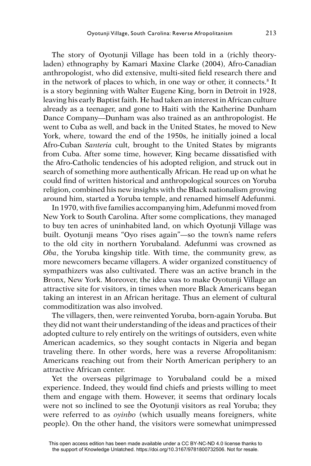The story of Oyotunji Village has been told in a (richly theoryladen) ethnography by Kamari Maxine Clarke (2004), Afro-Canadian anthropologist, who did extensive, multi-sited field research there and in the network of places to which, in one way or other, it connects.<sup>8</sup> It is a story beginning with Walter Eugene King, born in Detroit in 1928, leaving his early Baptist faith. He had taken an interest in African culture already as a teenager, and gone to Haiti with the Katherine Dunham Dance Company—Dunham was also trained as an anthropologist. He went to Cuba as well, and back in the United States, he moved to New York, where, toward the end of the 1950s, he initially joined a local Afro-Cuban *Santeria* cult, brought to the United States by migrants from Cuba. After some time, however, King became dissatisfied with the Afro-Catholic tendencies of his adopted religion, and struck out in search of something more authentically African. He read up on what he could find of written historical and anthropological sources on Yoruba religion, combined his new insights with the Black nationalism growing around him, started a Yoruba temple, and renamed himself Adefunmi.

In 1970, with five families accompanying him, Adefunmi moved from New York to South Carolina. After some complications, they managed to buy ten acres of uninhabited land, on which Oyotunji Village was built. Oyotunji means "Oyo rises again"—so the town's name refers to the old city in northern Yorubaland. Adefunmi was crowned as *Oba*, the Yoruba kingship title. With time, the community grew, as more newcomers became villagers. A wider organized constituency of sympathizers was also cultivated. There was an active branch in the Bronx, New York. Moreover, the idea was to make Oyotunji Village an attractive site for visitors, in times when more Black Americans began taking an interest in an African heritage. Thus an element of cultural commoditization was also involved.

The villagers, then, were reinvented Yoruba, born-again Yoruba. But they did not want their understanding of the ideas and practices of their adopted culture to rely entirely on the writings of outsiders, even white American academics, so they sought contacts in Nigeria and began traveling there. In other words, here was a reverse Afropolitanism: Americans reaching out from their North American periphery to an attractive African center.

Yet the overseas pilgrimage to Yorubaland could be a mixed experience. Indeed, they would find chiefs and priests willing to meet them and engage with them. However, it seems that ordinary locals were not so inclined to see the Oyotunji visitors as real Yoruba; they were referred to as *oyinbo* (which usually means foreigners, white people). On the other hand, the visitors were somewhat unimpressed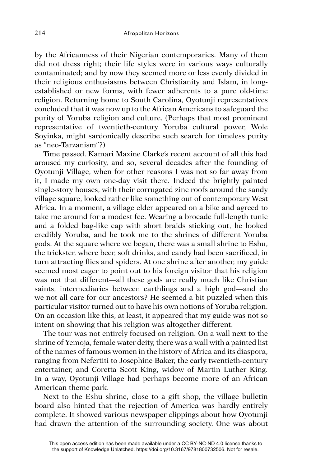by the Africanness of their Nigerian contemporaries. Many of them did not dress right; their life styles were in various ways culturally contaminated; and by now they seemed more or less evenly divided in their religious enthusiasms between Christianity and Islam, in longestablished or new forms, with fewer adherents to a pure old-time religion. Returning home to South Carolina, Oyotunji representatives concluded that it was now up to the African Americans to safeguard the purity of Yoruba religion and culture. (Perhaps that most prominent representative of twentieth-century Yoruba cultural power, Wole Soyinka, might sardonically describe such search for timeless purity as "neo-Tarzanism"?)

Time passed. Kamari Maxine Clarke's recent account of all this had aroused my curiosity, and so, several decades after the founding of Oyotunji Village, when for other reasons I was not so far away from it, I made my own one-day visit there. Indeed the brightly painted single-story houses, with their corrugated zinc roofs around the sandy village square, looked rather like something out of contemporary West Africa. In a moment, a village elder appeared on a bike and agreed to take me around for a modest fee. Wearing a brocade full-length tunic and a folded bag-like cap with short braids sticking out, he looked credibly Yoruba, and he took me to the shrines of different Yoruba gods. At the square where we began, there was a small shrine to Eshu, the trickster, where beer, soft drinks, and candy had been sacrificed, in turn attracting flies and spiders. At one shrine after another, my guide seemed most eager to point out to his foreign visitor that his religion was not that different—all these gods are really much like Christian saints, intermediaries between earthlings and a high god—and do we not all care for our ancestors? He seemed a bit puzzled when this particular visitor turned out to have his own notions of Yoruba religion. On an occasion like this, at least, it appeared that my guide was not so intent on showing that his religion was altogether different.

The tour was not entirely focused on religion. On a wall next to the shrine of Yemoja, female water deity, there was a wall with a painted list of the names of famous women in the history of Africa and its diaspora, ranging from Nefertiti to Josephine Baker, the early twentieth-century entertainer, and Coretta Scott King, widow of Martin Luther King. In a way, Oyotunji Village had perhaps become more of an African American theme park.

Next to the Eshu shrine, close to a gift shop, the village bulletin board also hinted that the rejection of America was hardly entirely complete. It showed various newspaper clippings about how Oyotunji had drawn the attention of the surrounding society. One was about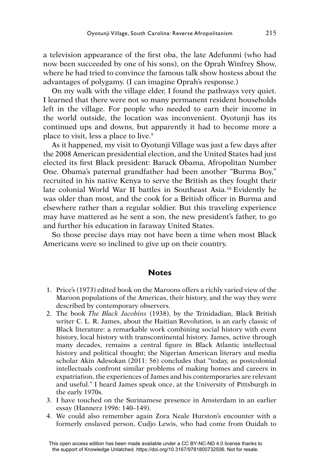a television appearance of the first oba, the late Adefunmi (who had now been succeeded by one of his sons), on the Oprah Winfrey Show, where he had tried to convince the famous talk show hostess about the advantages of polygamy. (I can imagine Oprah's response.)

On my walk with the village elder, I found the pathways very quiet. I learned that there were not so many permanent resident households left in the village. For people who needed to earn their income in the world outside, the location was inconvenient. Oyotunji has its continued ups and downs, but apparently it had to become more a place to visit, less a place to live.9

As it happened, my visit to Oyotunji Village was just a few days after the 2008 American presidential election, and the United States had just elected its first Black president: Barack Obama, Afropolitan Number One. Obama's paternal grandfather had been another "Burma Boy," recruited in his native Kenya to serve the British as they fought their late colonial World War II battles in Southeast Asia.10 Evidently he was older than most, and the cook for a British officer in Burma and elsewhere rather than a regular soldier. But this traveling experience may have mattered as he sent a son, the new president's father, to go and further his education in faraway United States.

So those precise days may not have been a time when most Black Americans were so inclined to give up on their country.

## **Notes**

- 1. Price's (1973) edited book on the Maroons offers a richly varied view of the Maroon populations of the Americas, their history, and the way they were described by contemporary observers.
- 2. The book *The Black Jacobins* (1938), by the Trinidadian, Black British writer C. L. R. James, about the Haitian Revolution, is an early classic of Black literature: a remarkable work combining social history with event history, local history with transcontinental history. James, active through many decades, remains a central figure in Black Atlantic intellectual history and political thought; the Nigerian American literary and media scholar Akin Adesokan (2011: 56) concludes that "today, as postcolonial intellectuals confront similar problems of making homes and careers in expatriation, the experiences of James and his contemporaries are relevant and useful." I heard James speak once, at the University of Pittsburgh in the early 1970s.
- 3. I have touched on the Surinamese presence in Amsterdam in an earlier essay (Hannerz 1996: 140–149).
- 4. We could also remember again Zora Neale Hurston's encounter with a formerly enslaved person, Cudjo Lewis, who had come from Ouidah to

This open access edition has been made available under a CC BY-NC-ND 4.0 license thanks to the support of Knowledge Unlatched. https://doi.org/10.3167/9781800732506. Not for resale.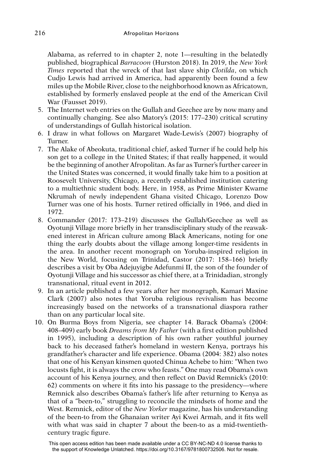Alabama, as referred to in chapter 2, note 1—resulting in the belatedly published, biographical *Barracoon* (Hurston 2018). In 2019, the *New York Times* reported that the wreck of that last slave ship *Clotilda*, on which Cudjo Lewis had arrived in America, had apparently been found a few miles up the Mobile River, close to the neighborhood known as Africatown, established by formerly enslaved people at the end of the American Civil War (Fausset 2019).

- 5. The Internet web entries on the Gullah and Geechee are by now many and continually changing. See also Matory's (2015: 177–230) critical scrutiny of understandings of Gullah historical isolation.
- 6. I draw in what follows on Margaret Wade-Lewis's (2007) biography of Turner.
- 7. The Alake of Abeokuta, traditional chief, asked Turner if he could help his son get to a college in the United States; if that really happened, it would be the beginning of another Afropolitan. As far as Turner's further career in the United States was concerned, it would finally take him to a position at Roosevelt University, Chicago, a recently established institution catering to a multiethnic student body. Here, in 1958, as Prime Minister Kwame Nkrumah of newly independent Ghana visited Chicago, Lorenzo Dow Turner was one of his hosts. Turner retired officially in 1966, and died in 1972.
- 8. Commander (2017: 173–219) discusses the Gullah/Geechee as well as Oyotunji Village more briefly in her transdisciplinary study of the reawakened interest in African culture among Black Americans, noting for one thing the early doubts about the village among longer-time residents in the area. In another recent monograph on Yoruba-inspired religion in the New World, focusing on Trinidad, Castor (2017: 158–166) briefly describes a visit by Oba Adejuyigbe Adefunmi II, the son of the founder of Oyotunji Village and his successor as chief there, at a Trinidadian, strongly transnational, ritual event in 2012.
- 9. In an article published a few years after her monograph, Kamari Maxine Clark (2007) also notes that Yoruba religious revivalism has become increasingly based on the networks of a transnational diaspora rather than on any particular local site.
- 10. On Burma Boys from Nigeria, see chapter 14. Barack Obama's (2004: 408–409) early book *Dreams from My Father* (with a first edition published in 1995), including a description of his own rather youthful journey back to his deceased father's homeland in western Kenya, portrays his grandfather's character and life experience. Obama (2004: 382) also notes that one of his Kenyan kinsmen quoted Chinua Achebe to him: "When two locusts fight, it is always the crow who feasts." One may read Obama's own account of his Kenya journey, and then reflect on David Remnick's (2010: 62) comments on where it fits into his passage to the presidency—where Remnick also describes Obama's father's life after returning to Kenya as that of a "been-to," struggling to reconcile the mindsets of home and the West. Remnick, editor of the *New Yorker* magazine, has his understanding of the been-to from the Ghanaian writer Ayi Kwei Armah, and it fits well with what was said in chapter 7 about the been-to as a mid-twentiethcentury tragic figure.

This open access edition has been made available under a CC BY-NC-ND 4.0 license thanks to the support of Knowledge Unlatched. https://doi.org/10.3167/9781800732506. Not for resale.